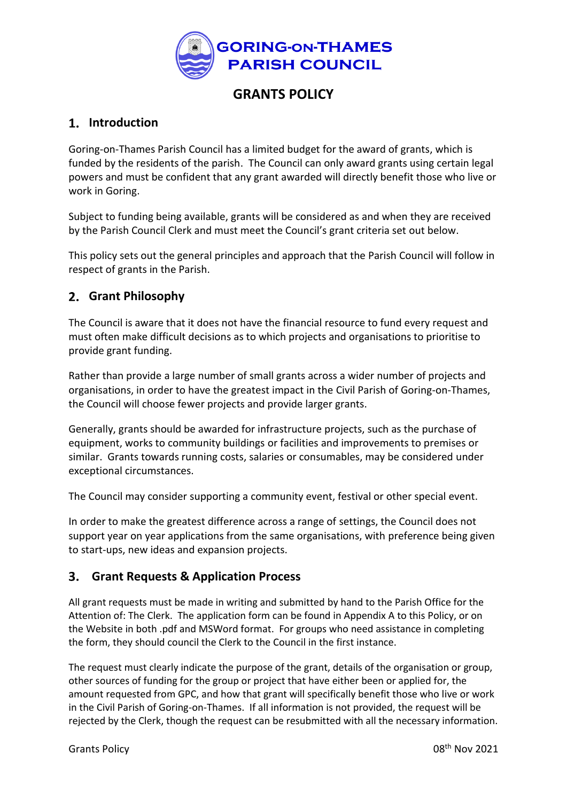

# **GRANTS POLICY**

# **Introduction**

Goring-on-Thames Parish Council has a limited budget for the award of grants, which is funded by the residents of the parish. The Council can only award grants using certain legal powers and must be confident that any grant awarded will directly benefit those who live or work in Goring.

Subject to funding being available, grants will be considered as and when they are received by the Parish Council Clerk and must meet the Council's grant criteria set out below.

This policy sets out the general principles and approach that the Parish Council will follow in respect of grants in the Parish.

## **Grant Philosophy**

The Council is aware that it does not have the financial resource to fund every request and must often make difficult decisions as to which projects and organisations to prioritise to provide grant funding.

Rather than provide a large number of small grants across a wider number of projects and organisations, in order to have the greatest impact in the Civil Parish of Goring-on-Thames, the Council will choose fewer projects and provide larger grants.

Generally, grants should be awarded for infrastructure projects, such as the purchase of equipment, works to community buildings or facilities and improvements to premises or similar. Grants towards running costs, salaries or consumables, may be considered under exceptional circumstances.

The Council may consider supporting a community event, festival or other special event.

In order to make the greatest difference across a range of settings, the Council does not support year on year applications from the same organisations, with preference being given to start-ups, new ideas and expansion projects.

## **Grant Requests & Application Process**

All grant requests must be made in writing and submitted by hand to the Parish Office for the Attention of: The Clerk. The application form can be found in Appendix A to this Policy, or on the Website in both .pdf and MSWord format. For groups who need assistance in completing the form, they should council the Clerk to the Council in the first instance.

The request must clearly indicate the purpose of the grant, details of the organisation or group, other sources of funding for the group or project that have either been or applied for, the amount requested from GPC, and how that grant will specifically benefit those who live or work in the Civil Parish of Goring-on-Thames. If all information is not provided, the request will be rejected by the Clerk, though the request can be resubmitted with all the necessary information.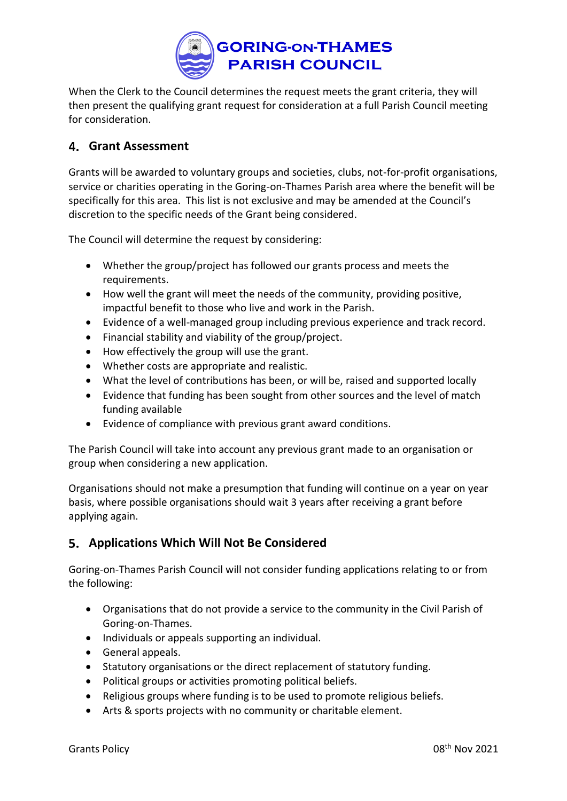

When the Clerk to the Council determines the request meets the grant criteria, they will then present the qualifying grant request for consideration at a full Parish Council meeting for consideration.

## **Grant Assessment**

Grants will be awarded to voluntary groups and societies, clubs, not-for-profit organisations, service or charities operating in the Goring-on-Thames Parish area where the benefit will be specifically for this area. This list is not exclusive and may be amended at the Council's discretion to the specific needs of the Grant being considered.

The Council will determine the request by considering:

- Whether the group/project has followed our grants process and meets the requirements.
- How well the grant will meet the needs of the community, providing positive, impactful benefit to those who live and work in the Parish.
- Evidence of a well-managed group including previous experience and track record.
- Financial stability and viability of the group/project.
- How effectively the group will use the grant.
- Whether costs are appropriate and realistic.
- What the level of contributions has been, or will be, raised and supported locally
- Evidence that funding has been sought from other sources and the level of match funding available
- Evidence of compliance with previous grant award conditions.

The Parish Council will take into account any previous grant made to an organisation or group when considering a new application.

Organisations should not make a presumption that funding will continue on a year on year basis, where possible organisations should wait 3 years after receiving a grant before applying again.

## **Applications Which Will Not Be Considered**

Goring-on-Thames Parish Council will not consider funding applications relating to or from the following:

- Organisations that do not provide a service to the community in the Civil Parish of Goring-on-Thames.
- Individuals or appeals supporting an individual.
- General appeals.
- Statutory organisations or the direct replacement of statutory funding.
- Political groups or activities promoting political beliefs.
- Religious groups where funding is to be used to promote religious beliefs.
- Arts & sports projects with no community or charitable element.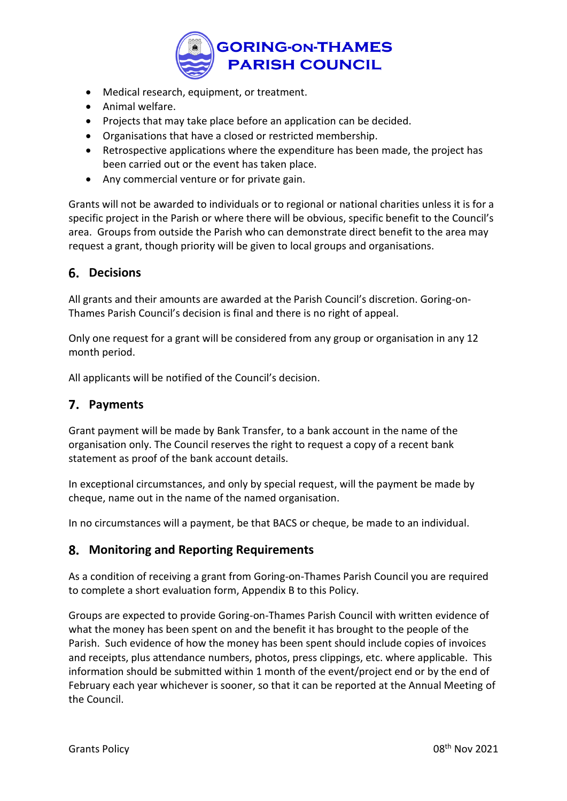

- Medical research, equipment, or treatment.
- Animal welfare.
- Projects that may take place before an application can be decided.
- Organisations that have a closed or restricted membership.
- Retrospective applications where the expenditure has been made, the project has been carried out or the event has taken place.
- Any commercial venture or for private gain.

Grants will not be awarded to individuals or to regional or national charities unless it is for a specific project in the Parish or where there will be obvious, specific benefit to the Council's area. Groups from outside the Parish who can demonstrate direct benefit to the area may request a grant, though priority will be given to local groups and organisations.

#### **Decisions**

All grants and their amounts are awarded at the Parish Council's discretion. Goring-on-Thames Parish Council's decision is final and there is no right of appeal.

Only one request for a grant will be considered from any group or organisation in any 12 month period.

All applicants will be notified of the Council's decision.

#### **Payments**

Grant payment will be made by Bank Transfer, to a bank account in the name of the organisation only. The Council reserves the right to request a copy of a recent bank statement as proof of the bank account details.

In exceptional circumstances, and only by special request, will the payment be made by cheque, name out in the name of the named organisation.

In no circumstances will a payment, be that BACS or cheque, be made to an individual.

#### **Monitoring and Reporting Requirements**

As a condition of receiving a grant from Goring-on-Thames Parish Council you are required to complete a short evaluation form, Appendix B to this Policy.

Groups are expected to provide Goring-on-Thames Parish Council with written evidence of what the money has been spent on and the benefit it has brought to the people of the Parish. Such evidence of how the money has been spent should include copies of invoices and receipts, plus attendance numbers, photos, press clippings, etc. where applicable. This information should be submitted within 1 month of the event/project end or by the end of February each year whichever is sooner, so that it can be reported at the Annual Meeting of the Council.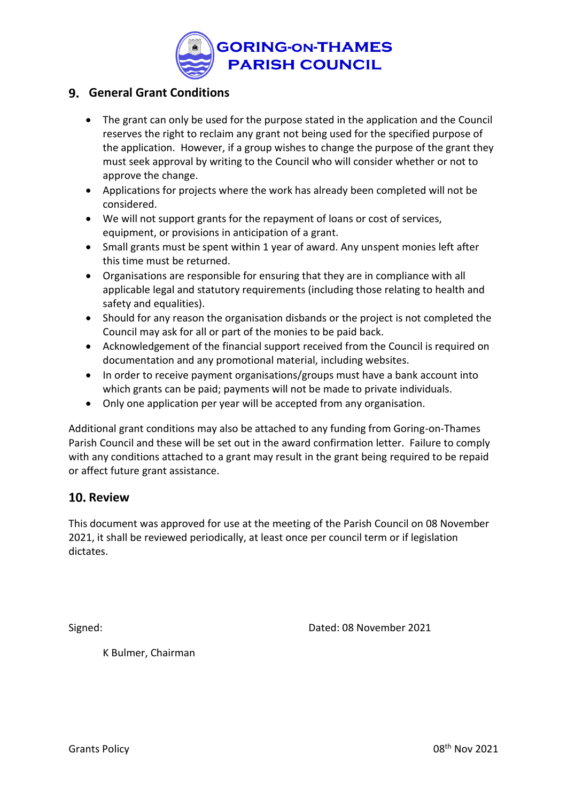

## **General Grant Conditions**

- The grant can only be used for the purpose stated in the application and the Council reserves the right to reclaim any grant not being used for the specified purpose of the application. However, if a group wishes to change the purpose of the grant they must seek approval by writing to the Council who will consider whether or not to approve the change.
- Applications for projects where the work has already been completed will not be considered.
- We will not support grants for the repayment of loans or cost of services, equipment, or provisions in anticipation of a grant.
- Small grants must be spent within 1 year of award. Any unspent monies left after this time must be returned.
- Organisations are responsible for ensuring that they are in compliance with all applicable legal and statutory requirements (including those relating to health and safety and equalities).
- Should for any reason the organisation disbands or the project is not completed the Council may ask for all or part of the monies to be paid back.
- Acknowledgement of the financial support received from the Council is required on documentation and any promotional material, including websites.
- In order to receive payment organisations/groups must have a bank account into which grants can be paid; payments will not be made to private individuals.
- Only one application per year will be accepted from any organisation.

Additional grant conditions may also be attached to any funding from Goring-on-Thames Parish Council and these will be set out in the award confirmation letter. Failure to comply with any conditions attached to a grant may result in the grant being required to be repaid or affect future grant assistance.

## **10. Review**

This document was approved for use at the meeting of the Parish Council on 08 November 2021, it shall be reviewed periodically, at least once per council term or if legislation dictates.

Signed: Dated: 08 November 2021

K Bulmer, Chairman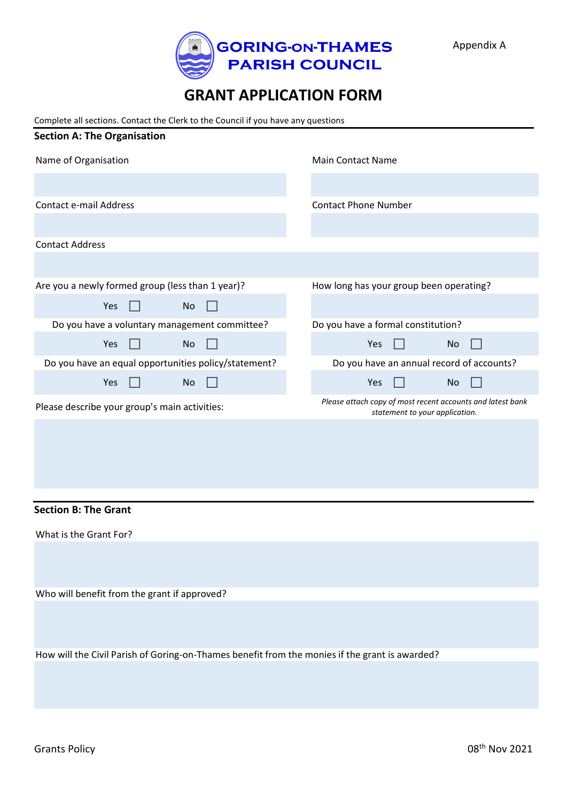

# **GRANT APPLICATION FORM**

Complete all sections. Contact the Clerk to the Council if you have any questions

| <b>Section A: The Organisation</b>                   |                                                                                              |
|------------------------------------------------------|----------------------------------------------------------------------------------------------|
| Name of Organisation                                 | Main Contact Name                                                                            |
|                                                      |                                                                                              |
| Contact e-mail Address                               | <b>Contact Phone Number</b>                                                                  |
|                                                      |                                                                                              |
| <b>Contact Address</b>                               |                                                                                              |
|                                                      |                                                                                              |
| Are you a newly formed group (less than 1 year)?     | How long has your group been operating?                                                      |
| Yes<br>No.                                           |                                                                                              |
| Do you have a voluntary management committee?        | Do you have a formal constitution?                                                           |
| Yes<br>No.                                           | Yes<br>No                                                                                    |
| Do you have an equal opportunities policy/statement? | Do you have an annual record of accounts?                                                    |
| <b>Yes</b><br>No                                     | Yes<br>No                                                                                    |
| Please describe your group's main activities:        | Please attach copy of most recent accounts and latest bank<br>statement to your application. |
|                                                      |                                                                                              |

#### **Section B: The Grant**

What is the Grant For?

Who will benefit from the grant if approved?

How will the Civil Parish of Goring-on-Thames benefit from the monies if the grant is awarded?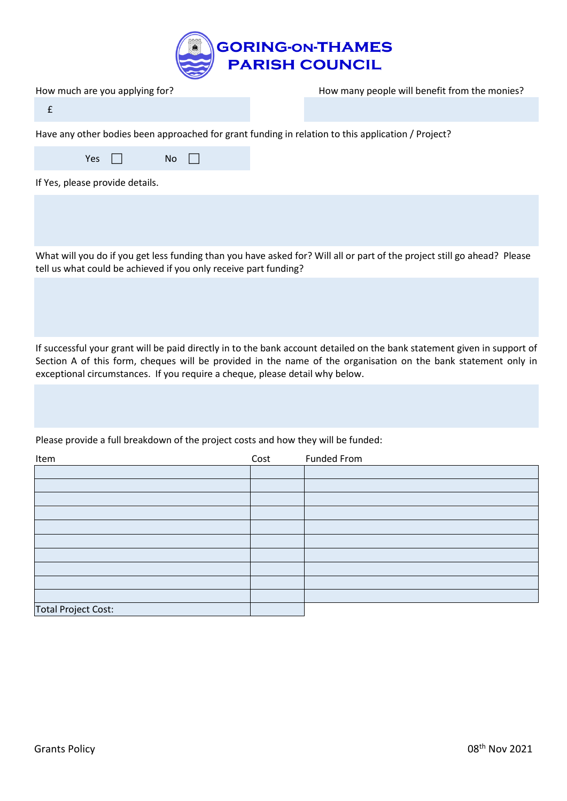

| How much are you applying for?                                                                     | How many people will benefit from the monies? |
|----------------------------------------------------------------------------------------------------|-----------------------------------------------|
|                                                                                                    |                                               |
| Have any other bodies been approached for grant funding in relation to this application / Project? |                                               |
| Yes<br>No.                                                                                         |                                               |
| If Yes, please provide details.                                                                    |                                               |
|                                                                                                    |                                               |

What will you do if you get less funding than you have asked for? Will all or part of the project still go ahead? Please tell us what could be achieved if you only receive part funding?

If successful your grant will be paid directly in to the bank account detailed on the bank statement given in support of Section A of this form, cheques will be provided in the name of the organisation on the bank statement only in exceptional circumstances. If you require a cheque, please detail why below.

Please provide a full breakdown of the project costs and how they will be funded:

| Item                       | Cost | <b>Funded From</b> |
|----------------------------|------|--------------------|
|                            |      |                    |
|                            |      |                    |
|                            |      |                    |
|                            |      |                    |
|                            |      |                    |
|                            |      |                    |
|                            |      |                    |
|                            |      |                    |
|                            |      |                    |
|                            |      |                    |
| <b>Total Project Cost:</b> |      |                    |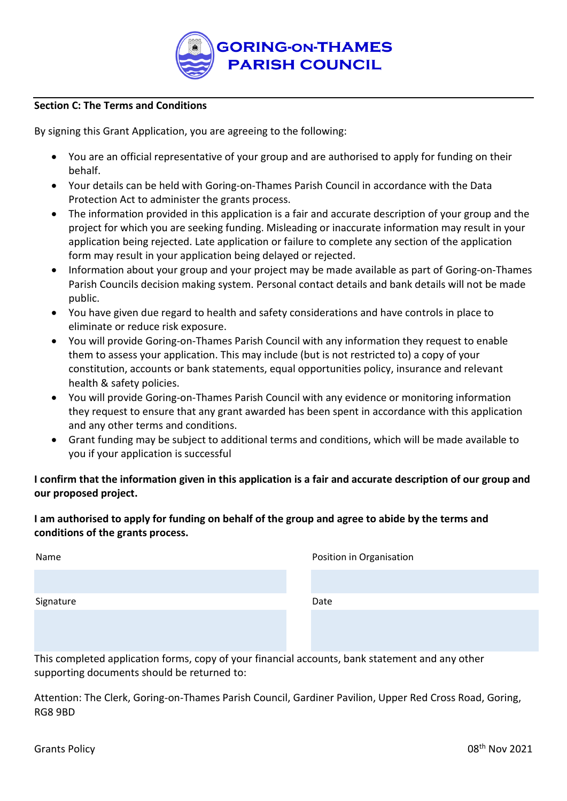

#### **Section C: The Terms and Conditions**

By signing this Grant Application, you are agreeing to the following:

- You are an official representative of your group and are authorised to apply for funding on their behalf.
- Your details can be held with Goring-on-Thames Parish Council in accordance with the Data Protection Act to administer the grants process.
- The information provided in this application is a fair and accurate description of your group and the project for which you are seeking funding. Misleading or inaccurate information may result in your application being rejected. Late application or failure to complete any section of the application form may result in your application being delayed or rejected.
- Information about your group and your project may be made available as part of Goring-on-Thames Parish Councils decision making system. Personal contact details and bank details will not be made public.
- You have given due regard to health and safety considerations and have controls in place to eliminate or reduce risk exposure.
- You will provide Goring-on-Thames Parish Council with any information they request to enable them to assess your application. This may include (but is not restricted to) a copy of your constitution, accounts or bank statements, equal opportunities policy, insurance and relevant health & safety policies.
- You will provide Goring-on-Thames Parish Council with any evidence or monitoring information they request to ensure that any grant awarded has been spent in accordance with this application and any other terms and conditions.
- Grant funding may be subject to additional terms and conditions, which will be made available to you if your application is successful

**I confirm that the information given in this application is a fair and accurate description of our group and our proposed project.** 

#### **I am authorised to apply for funding on behalf of the group and agree to abide by the terms and conditions of the grants process.**

| Name      | Position in Organisation |
|-----------|--------------------------|
|           |                          |
| Signature | Date                     |
|           |                          |
|           |                          |

This completed application forms, copy of your financial accounts, bank statement and any other supporting documents should be returned to:

Attention: The Clerk, Goring-on-Thames Parish Council, Gardiner Pavilion, Upper Red Cross Road, Goring, RG8 9BD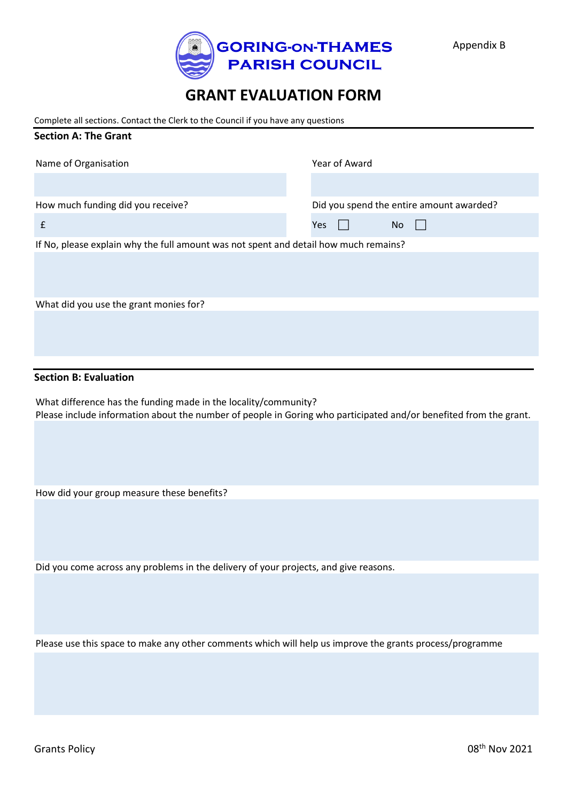

# **GRANT EVALUATION FORM**

Complete all sections. Contact the Clerk to the Council if you have any questions

| Name of Organisation                                                                 | Year of Award                            |
|--------------------------------------------------------------------------------------|------------------------------------------|
|                                                                                      |                                          |
| How much funding did you receive?                                                    | Did you spend the entire amount awarded? |
| £                                                                                    | Yes<br>No                                |
| If No, please explain why the full amount was not spent and detail how much remains? |                                          |
|                                                                                      |                                          |
| What did you use the grant monies for?                                               |                                          |
|                                                                                      |                                          |

#### **Section B: Evaluation**

**Section A: The Grant**

What difference has the funding made in the locality/community? Please include information about the number of people in Goring who participated and/or benefited from the grant.

How did your group measure these benefits?

Did you come across any problems in the delivery of your projects, and give reasons.

Please use this space to make any other comments which will help us improve the grants process/programme